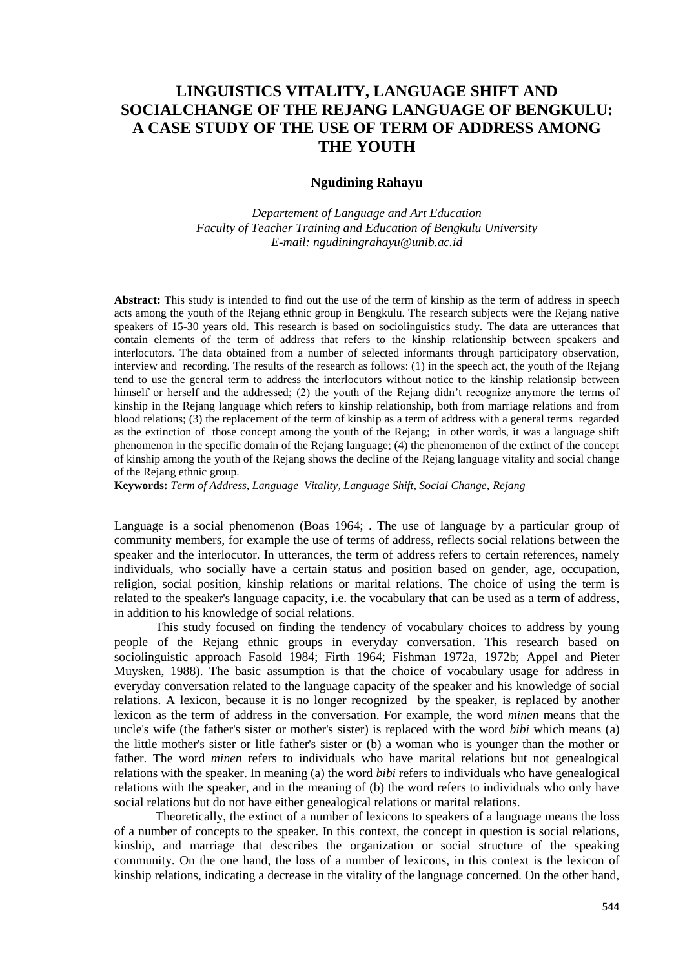# **LINGUISTICS VITALITY, LANGUAGE SHIFT AND SOCIALCHANGE OF THE REJANG LANGUAGE OF BENGKULU: A CASE STUDY OF THE USE OF TERM OF ADDRESS AMONG THE YOUTH**

## **Ngudining Rahayu**

*Departement of Language and Art Education Faculty of Teacher Training and Education of Bengkulu University [E-mail: ngudiningrahayu@unib.ac.id](mailto:E-mail:%20ngudiningrahayu@unib.ac.id)*

**Abstract:** This study is intended to find out the use of the term of kinship as the term of address in speech acts among the youth of the Rejang ethnic group in Bengkulu. The research subjects were the Rejang native speakers of 15-30 years old. This research is based on sociolinguistics study. The data are utterances that contain elements of the term of address that refers to the kinship relationship between speakers and interlocutors. The data obtained from a number of selected informants through participatory observation, interview and recording. The results of the research as follows: (1) in the speech act, the youth of the Rejang tend to use the general term to address the interlocutors without notice to the kinship relationsip between himself or herself and the addressed; (2) the youth of the Rejang didn't recognize anymore the terms of kinship in the Rejang language which refers to kinship relationship, both from marriage relations and from blood relations; (3) the replacement of the term of kinship as a term of address with a general terms regarded as the extinction of those concept among the youth of the Rejang; in other words, it was a language shift phenomenon in the specific domain of the Rejang language; (4) the phenomenon of the extinct of the concept of kinship among the youth of the Rejang shows the decline of the Rejang language vitality and social change of the Rejang ethnic group.

**Keywords:** *Term of Address, Language Vitality, Language Shift, Social Change, Rejang* 

Language is a social phenomenon (Boas 1964; . The use of language by a particular group of community members, for example the use of terms of address, reflects social relations between the speaker and the interlocutor. In utterances, the term of address refers to certain references, namely individuals, who socially have a certain status and position based on gender, age, occupation, religion, social position, kinship relations or marital relations. The choice of using the term is related to the speaker's language capacity, i.e. the vocabulary that can be used as a term of address, in addition to his knowledge of social relations.

This study focused on finding the tendency of vocabulary choices to address by young people of the Rejang ethnic groups in everyday conversation. This research based on sociolinguistic approach Fasold 1984; Firth 1964; Fishman 1972a, 1972b; Appel and Pieter Muysken, 1988). The basic assumption is that the choice of vocabulary usage for address in everyday conversation related to the language capacity of the speaker and his knowledge of social relations. A lexicon, because it is no longer recognized by the speaker, is replaced by another lexicon as the term of address in the conversation. For example, the word *minen* means that the uncle's wife (the father's sister or mother's sister) is replaced with the word *bibi* which means (a) the little mother's sister or litle father's sister or (b) a woman who is younger than the mother or father. The word *minen* refers to individuals who have marital relations but not genealogical relations with the speaker. In meaning (a) the word *bibi* refers to individuals who have genealogical relations with the speaker, and in the meaning of (b) the word refers to individuals who only have social relations but do not have either genealogical relations or marital relations.

Theoretically, the extinct of a number of lexicons to speakers of a language means the loss of a number of concepts to the speaker. In this context, the concept in question is social relations, kinship, and marriage that describes the organization or social structure of the speaking community. On the one hand, the loss of a number of lexicons, in this context is the lexicon of kinship relations, indicating a decrease in the vitality of the language concerned. On the other hand,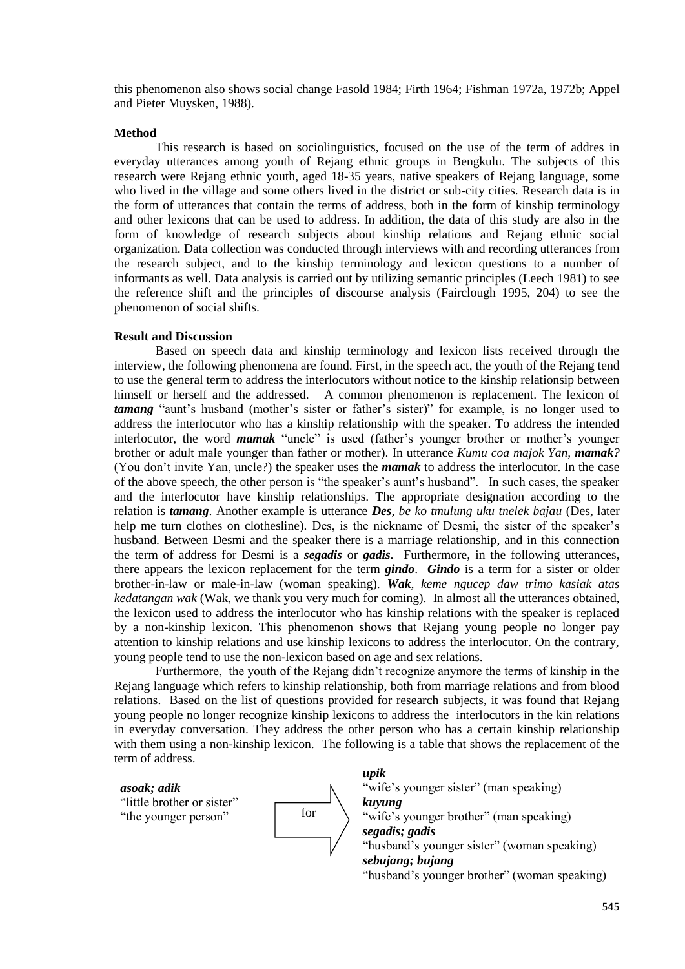this phenomenon also shows social change Fasold 1984; Firth 1964; Fishman 1972a, 1972b; Appel and Pieter Muysken, 1988).

### **Method**

This research is based on sociolinguistics, focused on the use of the term of addres in everyday utterances among youth of Rejang ethnic groups in Bengkulu. The subjects of this research were Rejang ethnic youth, aged 18-35 years, native speakers of Rejang language, some who lived in the village and some others lived in the district or sub-city cities. Research data is in the form of utterances that contain the terms of address, both in the form of kinship terminology and other lexicons that can be used to address. In addition, the data of this study are also in the form of knowledge of research subjects about kinship relations and Rejang ethnic social organization. Data collection was conducted through interviews with and recording utterances from the research subject, and to the kinship terminology and lexicon questions to a number of informants as well. Data analysis is carried out by utilizing semantic principles (Leech 1981) to see the reference shift and the principles of discourse analysis (Fairclough 1995, 204) to see the phenomenon of social shifts.

### **Result and Discussion**

Based on speech data and kinship terminology and lexicon lists received through the interview, the following phenomena are found. First, in the speech act, the youth of the Rejang tend to use the general term to address the interlocutors without notice to the kinship relationsip between himself or herself and the addressed. A common phenomenon is replacement. The lexicon of *tamang* "aunt's husband (mother's sister or father's sister)" for example, is no longer used to address the interlocutor who has a kinship relationship with the speaker. To address the intended interlocutor, the word *mamak* "uncle" is used (father's younger brother or mother's younger brother or adult male younger than father or mother). In utterance *Kumu coa majok Yan, mamak?*  (You don't invite Yan, uncle?) the speaker uses the *mamak* to address the interlocutor. In the case of the above speech, the other person is "the speaker's aunt's husband". In such cases, the speaker and the interlocutor have kinship relationships. The appropriate designation according to the relation is *tamang*. Another example is utterance *Des, be ko tmulung uku tnelek bajau* (Des, later help me turn clothes on clothesline). Des, is the nickname of Desmi, the sister of the speaker's husband. Between Desmi and the speaker there is a marriage relationship, and in this connection the term of address for Desmi is a *segadis* or *gadis*. Furthermore, in the following utterances, there appears the lexicon replacement for the term *gindo*. *Gindo* is a term for a sister or older brother-in-law or male-in-law (woman speaking). *Wak, keme ngucep daw trimo kasiak atas kedatangan wak* (Wak, we thank you very much for coming). In almost all the utterances obtained, the lexicon used to address the interlocutor who has kinship relations with the speaker is replaced by a non-kinship lexicon. This phenomenon shows that Rejang young people no longer pay attention to kinship relations and use kinship lexicons to address the interlocutor. On the contrary, young people tend to use the non-lexicon based on age and sex relations.

Furthermore, the youth of the Rejang didn't recognize anymore the terms of kinship in the Rejang language which refers to kinship relationship, both from marriage relations and from blood relations. Based on the list of questions provided for research subjects, it was found that Rejang young people no longer recognize kinship lexicons to address the interlocutors in the kin relations in everyday conversation. They address the other person who has a certain kinship relationship with them using a non-kinship lexicon. The following is a table that shows the replacement of the term of address.

*asoak; adik*

"little brother or sister" "the younger person"



*upik*

"wife's younger sister" (man speaking) *kuyung* "wife's younger brother" (man speaking) *segadis; gadis*  "husband's younger sister" (woman speaking) *sebujang; bujang*  "husband's younger brother" (woman speaking)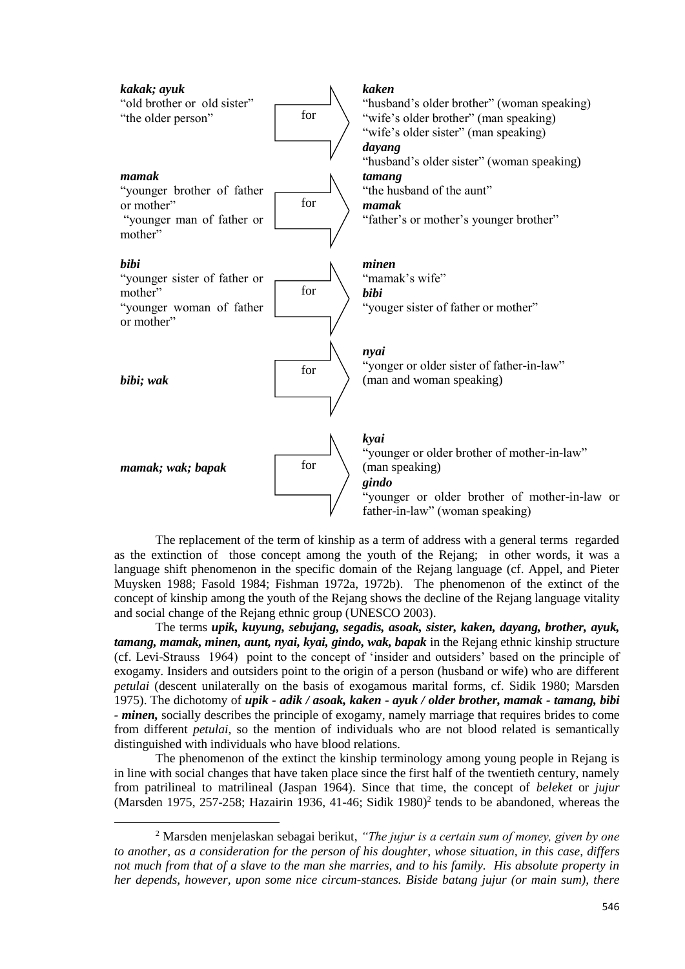

The replacement of the term of kinship as a term of address with a general terms regarded as the extinction of those concept among the youth of the Rejang; in other words, it was a language shift phenomenon in the specific domain of the Rejang language (cf. Appel, and Pieter Muysken 1988; Fasold 1984; Fishman 1972a, 1972b). The phenomenon of the extinct of the concept of kinship among the youth of the Rejang shows the decline of the Rejang language vitality and social change of the Rejang ethnic group (UNESCO 2003).

The terms *upik, kuyung, sebujang, segadis, asoak, sister, kaken, dayang, brother, ayuk, tamang, mamak, minen, aunt, nyai, kyai, gindo, wak, bapak* in the Rejang ethnic kinship structure (cf. Levi-Strauss 1964) point to the concept of 'insider and outsiders' based on the principle of exogamy. Insiders and outsiders point to the origin of a person (husband or wife) who are different *petulai* (descent unilaterally on the basis of exogamous marital forms, cf. Sidik 1980; Marsden 1975). The dichotomy of *upik - adik / asoak, kaken - ayuk / older brother, mamak - tamang, bibi - minen,* socially describes the principle of exogamy, namely marriage that requires brides to come from different *petulai*, so the mention of individuals who are not blood related is semantically distinguished with individuals who have blood relations.

The phenomenon of the extinct the kinship terminology among young people in Rejang is in line with social changes that have taken place since the first half of the twentieth century, namely from patrilineal to matrilineal (Jaspan 1964). Since that time, the concept of *beleket* or *jujur* (Marsden 1975, 257-258; Hazairin 1936, 41-46; Sidik 1980)<sup>2</sup> tends to be abandoned, whereas the

1

<sup>2</sup> Marsden menjelaskan sebagai berikut, *"The jujur is a certain sum of money, given by one to another, as a consideration for the person of his doughter, whose situation, in this case, differs not much from that of a slave to the man she marries, and to his family. His absolute property in her depends, however, upon some nice circum-stances. Biside batang jujur (or main sum), there*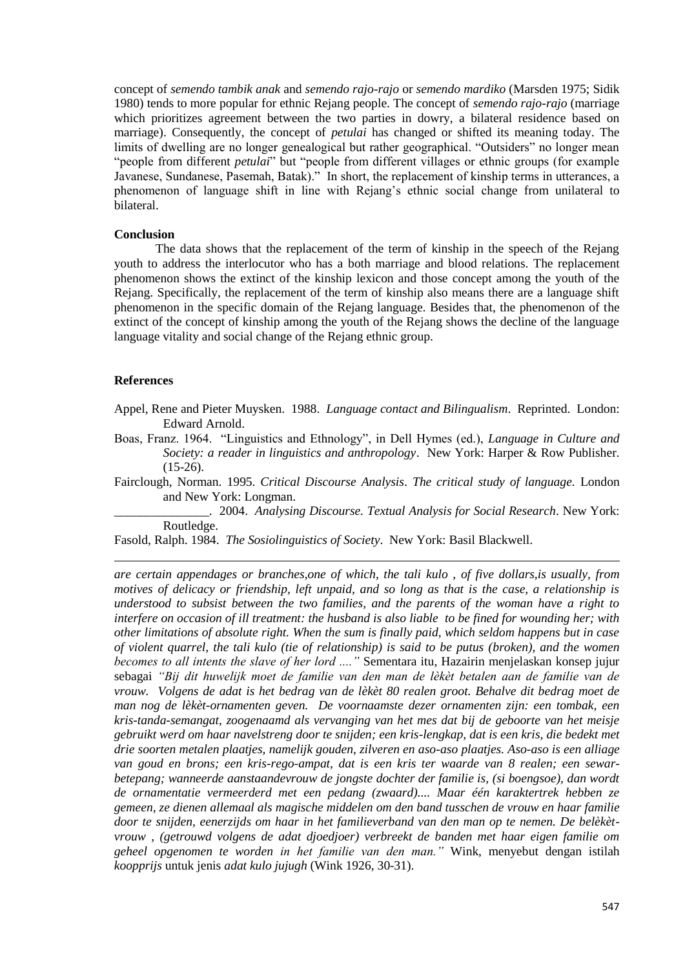concept of *semendo tambik anak* and *semendo rajo-rajo* or *semendo mardiko* (Marsden 1975; Sidik 1980) tends to more popular for ethnic Rejang people. The concept of *semendo rajo-rajo* (marriage which prioritizes agreement between the two parties in dowry, a bilateral residence based on marriage). Consequently, the concept of *petulai* has changed or shifted its meaning today. The limits of dwelling are no longer genealogical but rather geographical. "Outsiders" no longer mean "people from different *petulai*" but "people from different villages or ethnic groups (for example Javanese, Sundanese, Pasemah, Batak)." In short, the replacement of kinship terms in utterances, a phenomenon of language shift in line with Rejang's ethnic social change from unilateral to bilateral.

#### **Conclusion**

The data shows that the replacement of the term of kinship in the speech of the Rejang youth to address the interlocutor who has a both marriage and blood relations. The replacement phenomenon shows the extinct of the kinship lexicon and those concept among the youth of the Rejang. Specifically, the replacement of the term of kinship also means there are a language shift phenomenon in the specific domain of the Rejang language. Besides that, the phenomenon of the extinct of the concept of kinship among the youth of the Rejang shows the decline of the language language vitality and social change of the Rejang ethnic group.

#### **References**

1

- Appel, Rene and Pieter Muysken. 1988. *Language contact and Bilingualism*. Reprinted. London: Edward Arnold.
- Boas, Franz. 1964. "Linguistics and Ethnology", in Dell Hymes (ed.), *Language in Culture and Society: a reader in linguistics and anthropology*. New York: Harper & Row Publisher.  $(15-26)$ .
- Fairclough, Norman. 1995. *Critical Discourse Analysis*. *The critical study of language.* London and New York: Longman.
	- \_\_\_\_\_\_\_\_\_\_\_\_\_\_\_. 2004. *Analysing Discourse. Textual Analysis for Social Research*. New York: Routledge.
- Fasold, Ralph. 1984. *The Sosiolinguistics of Society*. New York: Basil Blackwell.

*are certain appendages or branches,one of which, the tali kulo , of five dollars,is usually, from motives of delicacy or friendship, left unpaid, and so long as that is the case, a relationship is understood to subsist between the two families, and the parents of the woman have a right to interfere on occasion of ill treatment: the husband is also liable to be fined for wounding her; with other limitations of absolute right. When the sum is finally paid, which seldom happens but in case of violent quarrel, the tali kulo (tie of relationship) is said to be putus (broken), and the women becomes to all intents the slave of her lord ...."* Sementara itu, Hazairin menjelaskan konsep jujur sebagai *"Bij dit huwelijk moet de familie van den man de lèkèt betalen aan de familie van de vrouw. Volgens de adat is het bedrag van de lèkèt 80 realen groot. Behalve dit bedrag moet de man nog de lèkèt-ornamenten geven. De voornaamste dezer ornamenten zijn: een tombak, een kris-tanda-semangat, zoogenaamd als vervanging van het mes dat bij de geboorte van het meisje gebruikt werd om haar navelstreng door te snijden; een kris-lengkap, dat is een kris, die bedekt met drie soorten metalen plaatjes, namelijk gouden, zilveren en aso-aso plaatjes. Aso-aso is een alliage van goud en brons; een kris-rego-ampat, dat is een kris ter waarde van 8 realen; een sewarbetepang; wanneerde aanstaandevrouw de jongste dochter der familie is, (si boengsoe), dan wordt de ornamentatie vermeerderd met een pedang (zwaard).... Maar één karaktertrek hebben ze gemeen, ze dienen allemaal als magische middelen om den band tusschen de vrouw en haar familie door te snijden, eenerzijds om haar in het familieverband van den man op te nemen. De belèkètvrouw , (getrouwd volgens de adat djoedjoer) verbreekt de banden met haar eigen familie om geheel opgenomen te worden in het familie van den man."* Wink, menyebut dengan istilah *koopprijs* untuk jenis *adat kulo jujugh* (Wink 1926, 30-31).